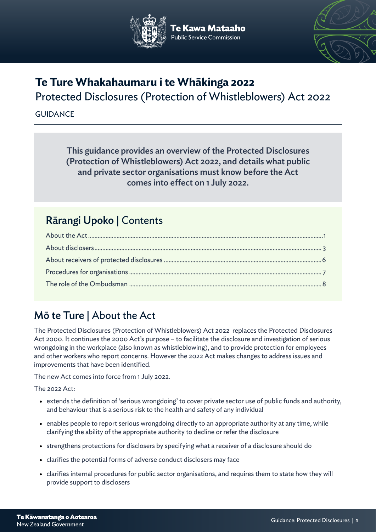



# **Te Ture Whakahaumaru i te Whākinga 2022** Protected Disclosures (Protection of Whistleblowers) Act 2022

## **GUIDANCE**

This guidance provides an overview of the Protected Disclosures (Protection of Whistleblowers) Act 2022, and details what public and private sector organisations must know before the Act comes into effect on 1 July 2022.

## Rārangi Upoko | Contents

# Mō te Ture | About the Act

The Protected Disclosures (Protection of Whistleblowers) Act 2022 replaces the Protected Disclosures Act 2000. It continues the 2000 Act's purpose – to facilitate the disclosure and investigation of serious wrongdoing in the workplace (also known as whistleblowing), and to provide protection for employees and other workers who report concerns. However the 2022 Act makes changes to address issues and improvements that have been identified.

The new Act comes into force from 1 July 2022.

The 2022 Act:

- extends the definition of 'serious wrongdoing' to cover private sector use of public funds and authority, and behaviour that is a serious risk to the health and safety of any individual
- enables people to report serious wrongdoing directly to an appropriate authority at any time, while clarifying the ability of the appropriate authority to decline or refer the disclosure
- strengthens protections for disclosers by specifying what a receiver of a disclosure should do
- clarifies the potential forms of adverse conduct disclosers may face
- clarifies internal procedures for public sector organisations, and requires them to state how they will provide support to disclosers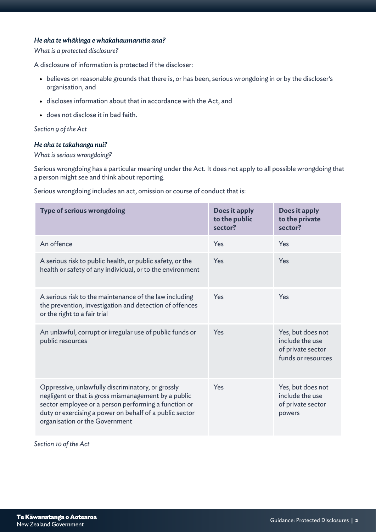## *He aha te whākinga e whakahaumarutia ana?*

#### *What is a protected disclosure?*

A disclosure of information is protected if the discloser:

- believes on reasonable grounds that there is, or has been, serious wrongdoing in or by the discloser's organisation, and
- discloses information about that in accordance with the Act, and
- does not disclose it in bad faith.

*Section 9 of the Act*

#### *He aha te takahanga nui?*

#### *What is serious wrongdoing?*

Serious wrongdoing has a particular meaning under the Act. It does not apply to all possible wrongdoing that a person might see and think about reporting.

Serious wrongdoing includes an act, omission or course of conduct that is:

| <b>Type of serious wrongdoing</b>                                                                                                                                                                                                                              | Does it apply<br>to the public<br>sector? | Does it apply<br>to the private<br>sector?                                      |
|----------------------------------------------------------------------------------------------------------------------------------------------------------------------------------------------------------------------------------------------------------------|-------------------------------------------|---------------------------------------------------------------------------------|
| An offence                                                                                                                                                                                                                                                     | Yes                                       | Yes                                                                             |
| A serious risk to public health, or public safety, or the<br>health or safety of any individual, or to the environment                                                                                                                                         | Yes                                       | Yes                                                                             |
| A serious risk to the maintenance of the law including<br>the prevention, investigation and detection of offences<br>or the right to a fair trial                                                                                                              | Yes                                       | Yes                                                                             |
| An unlawful, corrupt or irregular use of public funds or<br>public resources                                                                                                                                                                                   | Yes                                       | Yes, but does not<br>include the use<br>of private sector<br>funds or resources |
| Oppressive, unlawfully discriminatory, or grossly<br>negligent or that is gross mismanagement by a public<br>sector employee or a person performing a function or<br>duty or exercising a power on behalf of a public sector<br>organisation or the Government | Yes                                       | Yes, but does not<br>include the use<br>of private sector<br>powers             |

*Section 10 of the Act*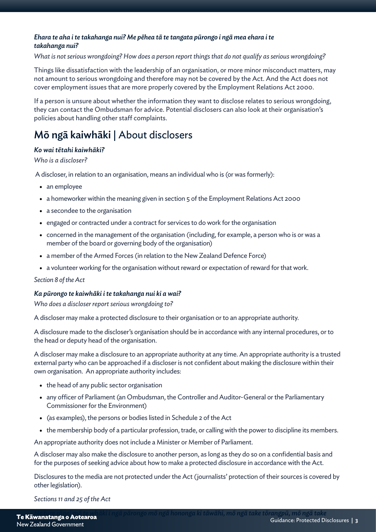## *Ehara te aha i te takahanga nui? Me pēhea tā te tangata pūrongo i ngā mea ehara i te takahanga nui?*

### *What is not serious wrongdoing? How does a person report things that do not qualify as serious wrongdoing?*

Things like dissatisfaction with the leadership of an organisation, or more minor misconduct matters, may not amount to serious wrongdoing and therefore may not be covered by the Act. And the Act does not cover employment issues that are more properly covered by the Employment Relations Act 2000.

If a person is unsure about whether the information they want to disclose relates to serious wrongdoing, they can contact the Ombudsman for advice. Potential disclosers can also look at their organisation's policies about handling other staff complaints.

## Mō ngā kaiwhāki | About disclosers

## *Ko wai tētahi kaiwhāki?*

#### *Who is a discloser?*

A discloser, in relation to an organisation, means an individual who is (or was formerly):

- an employee
- a homeworker within the meaning given in section 5 of the Employment Relations Act 2000
- a secondee to the organisation
- engaged or contracted under a contract for services to do work for the organisation
- concerned in the management of the organisation (including, for example, a person who is or was a member of the board or governing body of the organisation)
- a member of the Armed Forces (in relation to the New Zealand Defence Force)
- a volunteer working for the organisation without reward or expectation of reward for that work.

#### *Section 8 of the Act*

## *Ka pūrongo te kaiwhāki i te takahanga nui ki a wai?*

*Who does a discloser report serious wrongdoing to?*

A discloser may make a protected disclosure to their organisation or to an appropriate authority.

A disclosure made to the discloser's organisation should be in accordance with any internal procedures, or to the head or deputy head of the organisation.

A discloser may make a disclosure to an appropriate authority at any time. An appropriate authority is a trusted external party who can be approached if a discloser is not confident about making the disclosure within their own organisation. An appropriate authority includes:

- the head of any public sector organisation
- any officer of Parliament (an Ombudsman, the Controller and Auditor-General or the Parliamentary Commissioner for the Environment)
- (as examples), the persons or bodies listed in Schedule 2 of the Act
- the membership body of a particular profession, trade, or calling with the power to discipline its members.

An appropriate authority does not include a Minister or Member of Parliament.

A discloser may also make the disclosure to another person, as long as they do so on a confidential basis and for the purposes of seeking advice about how to make a protected disclosure in accordance with the Act.

Disclosures to the media are not protected under the Act (journalists' protection of their sources is covered by other legislation).

*Sections 11 and 25 of the Act*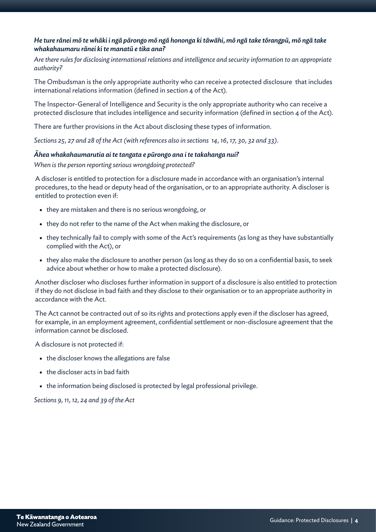## *He ture rānei mō te whāki i ngā pārongo mō ngā hononga ki tāwāhi, mō ngā take tōrangpū, mō ngā take whakahaumaru rānei ki te manatū e tika ana?*

*Are there rules for disclosing international relations and intelligence and security information to an appropriate authority?*

The Ombudsman is the only appropriate authority who can receive a protected disclosure that includes international relations information (defined in section 4 of the Act).

The Inspector-General of Intelligence and Security is the only appropriate authority who can receive a protected disclosure that includes intelligence and security information (defined in section 4 of the Act).

There are further provisions in the Act about disclosing these types of information.

*Sections 25, 27 and 28 of the Act (with references also in sections 14, 16, 17, 30, 32 and 33).*

#### *Āhea whakahaumarutia ai te tangata e pūrongo ana i te takahanga nui?*

*When is the person reporting serious wrongdoing protected?*

A discloser is entitled to protection for a disclosure made in accordance with an organisation's internal procedures, to the head or deputy head of the organisation, or to an appropriate authority. A discloser is entitled to protection even if:

- they are mistaken and there is no serious wrongdoing, or
- they do not refer to the name of the Act when making the disclosure, or
- they technically fail to comply with some of the Act's requirements (as long as they have substantially complied with the Act), or
- they also make the disclosure to another person (as long as they do so on a confidential basis, to seek advice about whether or how to make a protected disclosure).

Another discloser who discloses further information in support of a disclosure is also entitled to protection if they do not disclose in bad faith and they disclose to their organisation or to an appropriate authority in accordance with the Act.

The Act cannot be contracted out of so its rights and protections apply even if the discloser has agreed, for example, in an employment agreement, confidential settlement or non-disclosure agreement that the information cannot be disclosed.

A disclosure is not protected if:

- the discloser knows the allegations are false
- the discloser acts in bad faith
- the information being disclosed is protected by legal professional privilege.

*Sections 9, 11, 12, 24 and 39 of the Act*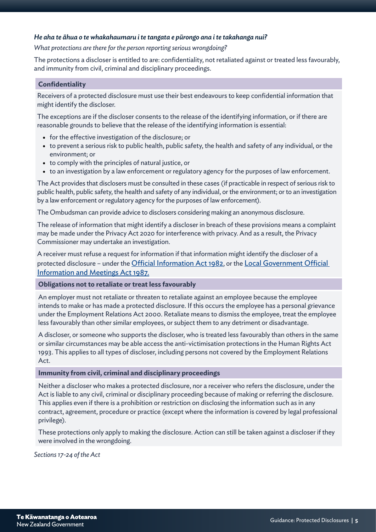## *He aha te āhua o te whakahaumaru i te tangata e pūrongo ana i te takahanga nui?*

#### *What protections are there for the person reporting serious wrongdoing?*

The protections a discloser is entitled to are: confidentiality, not retaliated against or treated less favourably, and immunity from civil, criminal and disciplinary proceedings.

#### **Confidentiality**

Receivers of a protected disclosure must use their best endeavours to keep confidential information that might identify the discloser.

The exceptions are if the discloser consents to the release of the identifying information, or if there are reasonable grounds to believe that the release of the identifying information is essential:

- for the effective investigation of the disclosure; or
- to prevent a serious risk to public health, public safety, the health and safety of any individual, or the environment; or
- to comply with the principles of natural justice, or
- to an investigation by a law enforcement or regulatory agency for the purposes of law enforcement.

The Act provides that disclosers must be consulted in these cases (if practicable in respect of serious risk to public health, public safety, the health and safety of any individual, or the environment; or to an investigation by a law enforcement or regulatory agency for the purposes of law enforcement).

The Ombudsman can provide advice to disclosers considering making an anonymous disclosure.

The release of information that might identify a discloser in breach of these provisions means a complaint may be made under the Privacy Act 2020 for interference with privacy. And as a result, the Privacy Commissioner may undertake an investigation.

A receiver must refuse a request for information if that information might identify the discloser of a protected disclosure - under the [Official Information Act 1982](https://www.legislation.govt.nz/act/public/1982/0156/latest/DLM64785.html), or the Local Government Official [Information and Meetings Act 1987.](https://www.legislation.govt.nz/act/public/1987/0174/latest/DLM122242.html)

#### **Obligations not to retaliate or treat less favourably**

An employer must not retaliate or threaten to retaliate against an employee because the employee intends to make or has made a protected disclosure. If this occurs the employee has a personal grievance under the Employment Relations Act 2000. Retaliate means to dismiss the employee, treat the employee less favourably than other similar employees, or subject them to any detriment or disadvantage.

A discloser, or someone who supports the discloser, who is treated less favourably than others in the same or similar circumstances may be able access the anti-victimisation protections in the Human Rights Act 1993. This applies to all types of discloser, including persons not covered by the Employment Relations Act.

#### **Immunity from civil, criminal and disciplinary proceedings**

Neither a discloser who makes a protected disclosure, nor a receiver who refers the disclosure, under the Act is liable to any civil, criminal or disciplinary proceeding because of making or referring the disclosure. This applies even if there is a prohibition or restriction on disclosing the information such as in any contract, agreement, procedure or practice (except where the information is covered by legal professional privilege).

These protections only apply to making the disclosure. Action can still be taken against a discloser if they were involved in the wrongdoing.

*Sections 17-24 of the Act*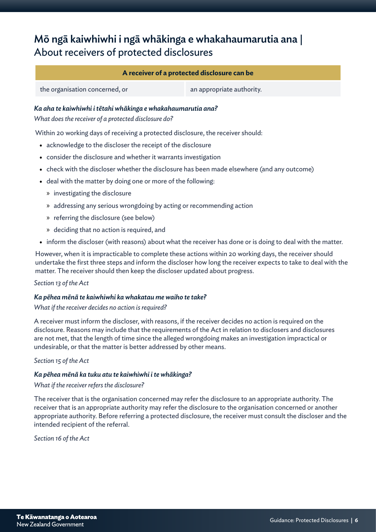# Mō ngā kaiwhiwhi i ngā whākinga e whakahaumarutia ana | About receivers of protected disclosures

## **A receiver of a protected disclosure can be**

the organisation concerned, or an appropriate authority.

## *Ka aha te kaiwhiwhi i tētahi whākinga e whakahaumarutia ana?*

*What does the receiver of a protected disclosure do?*

Within 20 working days of receiving a protected disclosure, the receiver should:

- acknowledge to the discloser the receipt of the disclosure
- consider the disclosure and whether it warrants investigation
- check with the discloser whether the disclosure has been made elsewhere (and any outcome)
- deal with the matter by doing one or more of the following:
	- » investigating the disclosure
	- » addressing any serious wrongdoing by acting or recommending action
	- » referring the disclosure (see below)
	- » deciding that no action is required, and
- inform the discloser (with reasons) about what the receiver has done or is doing to deal with the matter.

However, when it is impracticable to complete these actions within 20 working days, the receiver should undertake the first three steps and inform the discloser how long the receiver expects to take to deal with the matter. The receiver should then keep the discloser updated about progress.

#### *Section 13 of the Act*

#### *Ka pēhea mēnā te kaiwhiwhi ka whakatau me waiho te take?*

#### *What if the receiver decides no action is required?*

A receiver must inform the discloser, with reasons, if the receiver decides no action is required on the disclosure. Reasons may include that the requirements of the Act in relation to disclosers and disclosures are not met, that the length of time since the alleged wrongdoing makes an investigation impractical or undesirable, or that the matter is better addressed by other means.

#### *Section 15 of the Act*

## *Ka pēhea mēnā ka tuku atu te kaiwhiwhi i te whākinga?*

#### *What if the receiver refers the disclosure?*

The receiver that is the organisation concerned may refer the disclosure to an appropriate authority. The receiver that is an appropriate authority may refer the disclosure to the organisation concerned or another appropriate authority. Before referring a protected disclosure, the receiver must consult the discloser and the intended recipient of the referral.

*Section 16 of the Act*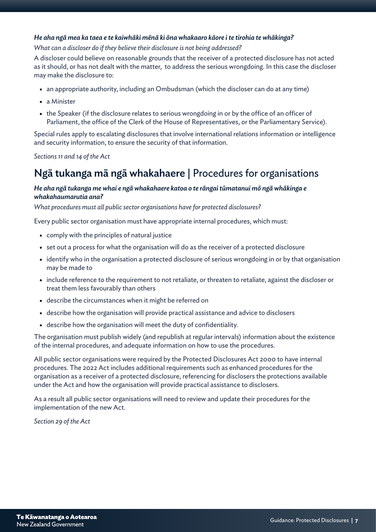## *He aha ngā mea ka taea e te kaiwhāki mēnā ki ōna whakaaro kāore i te tirohia te whākinga?*

#### *What can a discloser do if they believe their disclosure is not being addressed?*

A discloser could believe on reasonable grounds that the receiver of a protected disclosure has not acted as it should, or has not dealt with the matter, to address the serious wrongdoing. In this case the discloser may make the disclosure to:

- an appropriate authority, including an Ombudsman (which the discloser can do at any time)
- a Minister
- the Speaker (if the disclosure relates to serious wrongdoing in or by the office of an officer of Parliament, the office of the Clerk of the House of Representatives, or the Parliamentary Service).

Special rules apply to escalating disclosures that involve international relations information or intelligence and security information, to ensure the security of that information.

*Sections 11 and 14 of the Act*

## Ngā tukanga mā ngā whakahaere | Procedures for organisations

#### *He aha ngā tukanga me whai e ngā whakahaere katoa o te rāngai tūmatanui mō ngā whākinga e whakahaumarutia ana?*

*What procedures must all public sector organisations have for protected disclosures?*

Every public sector organisation must have appropriate internal procedures, which must:

- comply with the principles of natural justice
- set out a process for what the organisation will do as the receiver of a protected disclosure
- identify who in the organisation a protected disclosure of serious wrongdoing in or by that organisation may be made to
- include reference to the requirement to not retaliate, or threaten to retaliate, against the discloser or treat them less favourably than others
- describe the circumstances when it might be referred on
- describe how the organisation will provide practical assistance and advice to disclosers
- describe how the organisation will meet the duty of confidentiality.

The organisation must publish widely (and republish at regular intervals) information about the existence of the internal procedures, and adequate information on how to use the procedures.

All public sector organisations were required by the Protected Disclosures Act 2000 to have internal procedures. The 2022 Act includes additional requirements such as enhanced procedures for the organisation as a receiver of a protected disclosure, referencing for disclosers the protections available under the Act and how the organisation will provide practical assistance to disclosers.

As a result all public sector organisations will need to review and update their procedures for the implementation of the new Act.

*Section 29 of the Act*